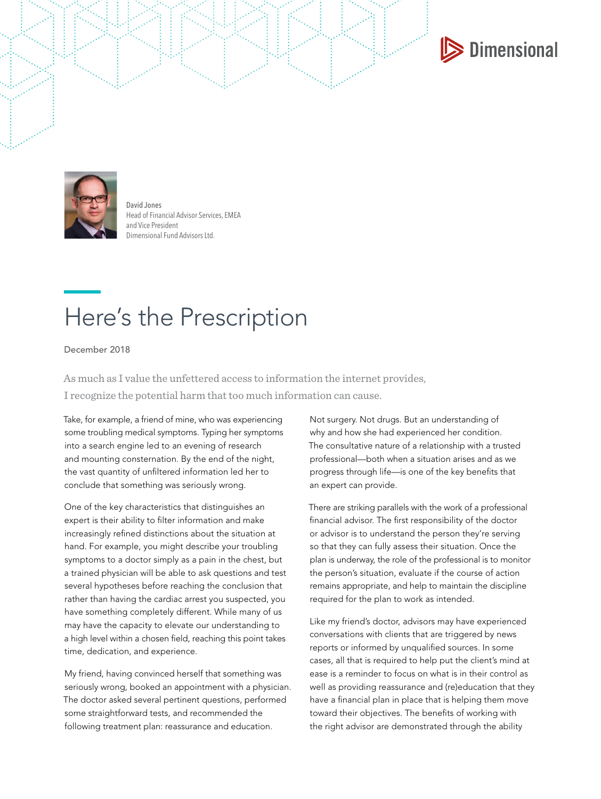



David Jones Head of Financial Advisor Services, EMEA and Vice President Dimensional Fund Advisors Ltd.

## Here's the Prescription

December 2018

As much as I value the unfettered access to information the internet provides, I recognize the potential harm that too much information can cause.

Take, for example, a friend of mine, who was experiencing some troubling medical symptoms. Typing her symptoms into a search engine led to an evening of research and mounting consternation. By the end of the night, the vast quantity of unfiltered information led her to conclude that something was seriously wrong.

One of the key characteristics that distinguishes an expert is their ability to filter information and make increasingly refined distinctions about the situation at hand. For example, you might describe your troubling symptoms to a doctor simply as a pain in the chest, but a trained physician will be able to ask questions and test several hypotheses before reaching the conclusion that rather than having the cardiac arrest you suspected, you have something completely different. While many of us may have the capacity to elevate our understanding to a high level within a chosen field, reaching this point takes time, dedication, and experience.

My friend, having convinced herself that something was seriously wrong, booked an appointment with a physician. The doctor asked several pertinent questions, performed some straightforward tests, and recommended the following treatment plan: reassurance and education.

Not surgery. Not drugs. But an understanding of why and how she had experienced her condition. The consultative nature of a relationship with a trusted professional—both when a situation arises and as we progress through life—is one of the key benefits that an expert can provide.

There are striking parallels with the work of a professional financial advisor. The first responsibility of the doctor or advisor is to understand the person they're serving so that they can fully assess their situation. Once the plan is underway, the role of the professional is to monitor the person's situation, evaluate if the course of action remains appropriate, and help to maintain the discipline required for the plan to work as intended.

Like my friend's doctor, advisors may have experienced conversations with clients that are triggered by news reports or informed by unqualified sources. In some cases, all that is required to help put the client's mind at ease is a reminder to focus on what is in their control as well as providing reassurance and (re)education that they have a financial plan in place that is helping them move toward their objectives. The benefits of working with the right advisor are demonstrated through the ability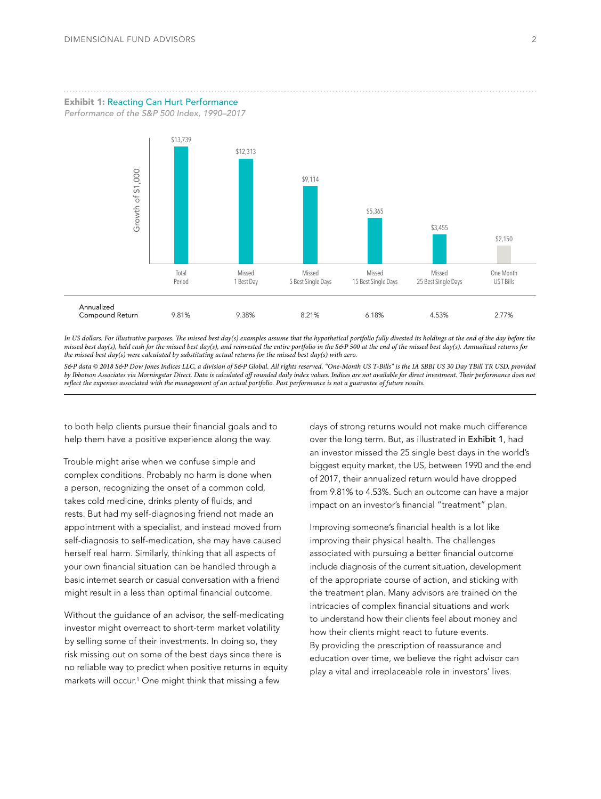Exhibit 1: Reacting Can Hurt Performance

*Performance of the S&P 500 Index, 1990–2017*



*In US dollars. For illustrative purposes. The missed best day(s) examples assume that the hypothetical portfolio fully divested its holdings at the end of the day before the missed best day(s), held cash for the missed best day(s), and reinvested the entire portfolio in the S&P 500 at the end of the missed best day(s). Annualized returns for the missed best day(s) were calculated by substituting actual returns for the missed best day(s) with zero.* 

*S&P data © 2018 S&P Dow Jones Indices LLC, a division of S&P Global. All rights reserved. "One-Month US T-Bills" is the IA SBBI US 30 Day TBill TR USD, provided by Ibbotson Associates via Morningstar Direct. Data is calculated off rounded daily index values. Indices are not available for direct investment. Their performance does not* 

to both help clients pursue their financial goals and to help them have a positive experience along the way.

Trouble might arise when we confuse simple and complex conditions. Probably no harm is done when a person, recognizing the onset of a common cold, takes cold medicine, drinks plenty of fluids, and rests. But had my self-diagnosing friend not made an appointment with a specialist, and instead moved from self-diagnosis to self-medication, she may have caused herself real harm. Similarly, thinking that all aspects of your own financial situation can be handled through a basic internet search or casual conversation with a friend might result in a less than optimal financial outcome.

Without the guidance of an advisor, the self-medicating investor might overreact to short-term market volatility by selling some of their investments. In doing so, they risk missing out on some of the best days since there is no reliable way to predict when positive returns in equity markets will occur.1 One might think that missing a few

days of strong returns would not make much difference over the long term. But, as illustrated in Exhibit 1, had an investor missed the 25 single best days in the world's biggest equity market, the US, between 1990 and the end of 2017, their annualized return would have dropped from 9.81% to 4.53%. Such an outcome can have a major impact on an investor's financial "treatment" plan.

Improving someone's financial health is a lot like improving their physical health. The challenges associated with pursuing a better financial outcome include diagnosis of the current situation, development of the appropriate course of action, and sticking with the treatment plan. Many advisors are trained on the intricacies of complex financial situations and work to understand how their clients feel about money and how their clients might react to future events. By providing the prescription of reassurance and education over time, we believe the right advisor can play a vital and irreplaceable role in investors' lives.